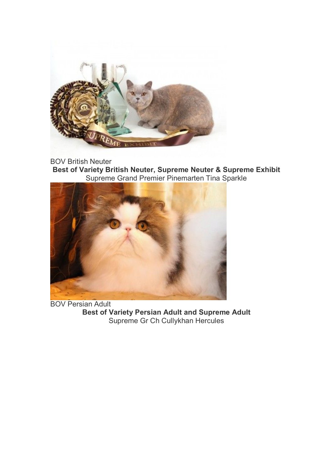

BOV British Neuter

**Best of Variety British Neuter, Supreme Neuter & Supreme Exhibit** Supreme Grand Premier Pinemarten Tina Sparkle



BOV Persian Adult **Best of Variety Persian Adult and Supreme Adult** Supreme Gr Ch Cullykhan Hercules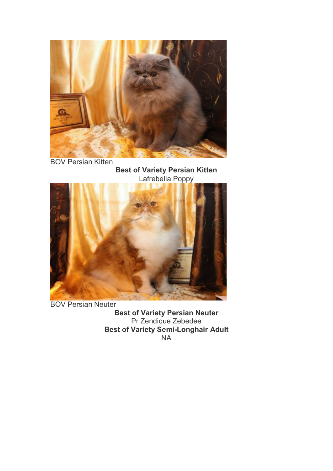

BOV Persian Kitten

**Best of Variety Persian Kitten** Lafrebella Poppy



BOV Persian Neuter **Best of Variety Persian Neuter** Pr Zendique Zebedee **Best of Variety Semi-Longhair Adult** NA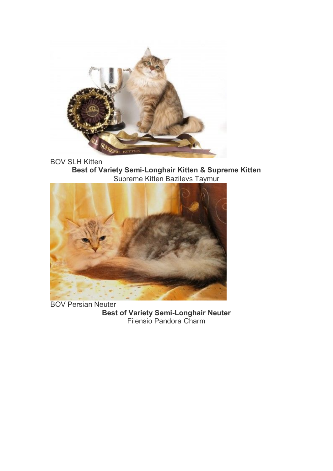

BOV SLH Kitten **Best of Variety Semi-Longhair Kitten & Supreme Kitten** Supreme Kitten Bazilevs Taymur



BOV Persian Neuter **Best of Variety Semi-Longhair Neuter** Filensio Pandora Charm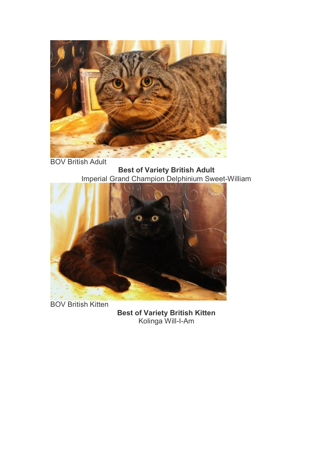

BOV British Adult

**Best of Variety British Adult** Imperial Grand Champion Delphinium Sweet-William



BOV British Kitten

**Best of Variety British Kitten** Kolinga Will-I-Am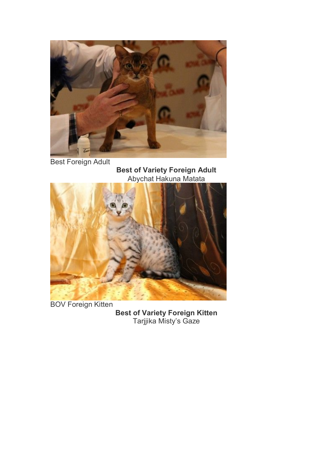

Best Foreign Adult

**Best of Variety Foreign Adult** Abychat Hakuna Matata



BOV Foreign Kitten

**Best of Variety Foreign Kitten** Tarjjika Misty's Gaze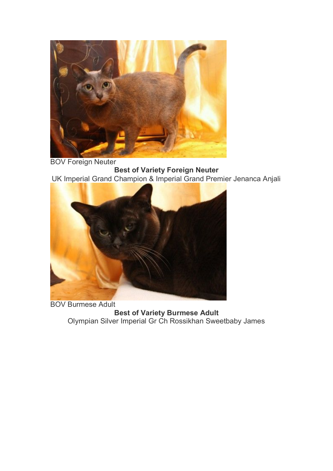

BOV Foreign Neuter **Best of Variety Foreign Neuter** UK Imperial Grand Champion & Imperial Grand Premier Jenanca Anjali



BOV Burmese Adult **Best of Variety Burmese Adult** Olympian Silver Imperial Gr Ch Rossikhan Sweetbaby James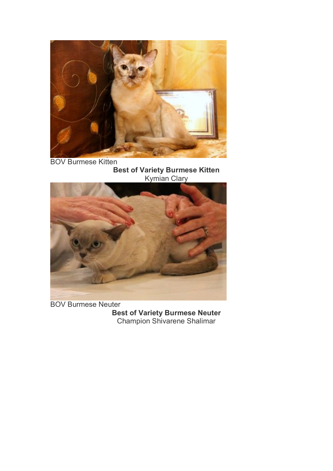

BOV Burmese Kitten **Best of Variety Burmese Kitten** Kymian Clary



BOV Burmese Neuter **Best of Variety Burmese Neuter** Champion Shivarene Shalimar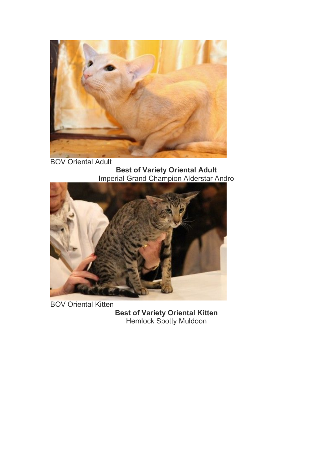

BOV Oriental Adult **Best of Variety Oriental Adult** Imperial Grand Champion Alderstar Andro



BOV Oriental Kitten **Best of Variety Oriental Kitten** Hemlock Spotty Muldoon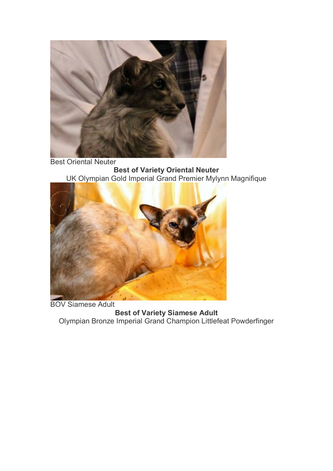

Best Oriental Neuter **Best of Variety Oriental Neuter** UK Olympian Gold Imperial Grand Premier Mylynn Magnifique



BOV Siamese Adult **Best of Variety Siamese Adult** Olympian Bronze Imperial Grand Champion Littlefeat Powderfinger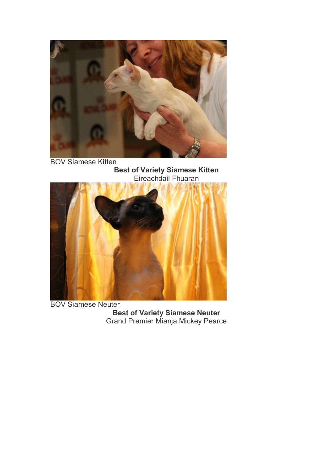

BOV Siamese Kitten **Best of Variety Siamese Kitten**



BOV Siamese Neuter **Best of Variety Siamese Neuter** Grand Premier Mianja Mickey Pearce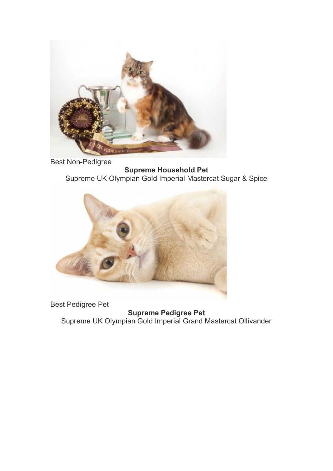

Best Non-Pedigree

**Supreme Household Pet** Supreme UK Olympian Gold Imperial Mastercat Sugar & Spice



Best Pedigree Pet

**Supreme Pedigree Pet** Supreme UK Olympian Gold Imperial Grand Mastercat Ollivander